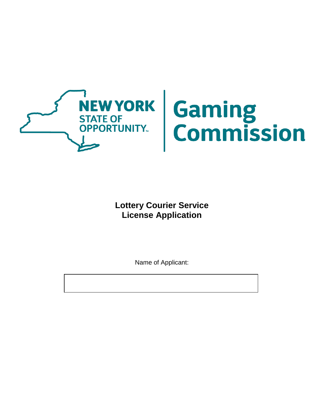

Name of Applicant: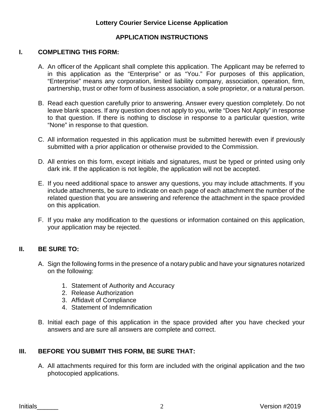# **APPLICATION INSTRUCTIONS**

## **I. COMPLETING THIS FORM:**

- A. An officer of the Applicant shall complete this application. The Applicant may be referred to in this application as the "Enterprise" or as "You." For purposes of this application, "Enterprise" means any corporation, limited liability company, association, operation, firm, partnership, trust or other form of business association, a sole proprietor, or a natural person.
- B. Read each question carefully prior to answering. Answer every question completely. Do not leave blank spaces. If any question does not apply to you, write "Does Not Apply" in response to that question. If there is nothing to disclose in response to a particular question, write "None" in response to that question.
- C. All information requested in this application must be submitted herewith even if previously submitted with a prior application or otherwise provided to the Commission.
- D. All entries on this form, except initials and signatures, must be typed or printed using only dark ink. If the application is not legible, the application will not be accepted.
- E. If you need additional space to answer any questions, you may include attachments. If you include attachments, be sure to indicate on each page of each attachment the number of the related question that you are answering and reference the attachment in the space provided on this application.
- F. If you make any modification to the questions or information contained on this application, your application may be rejected.

## **II. BE SURE TO:**

- A. Sign the following forms in the presence of a notary public and have your signatures notarized on the following:
	- 1. Statement of Authority and Accuracy
	- 2. Release Authorization
	- 3. Affidavit of Compliance
	- 4. Statement of Indemnification
- B. Initial each page of this application in the space provided after you have checked your answers and are sure all answers are complete and correct.

# **III. BEFORE YOU SUBMIT THIS FORM, BE SURE THAT:**

A. All attachments required for this form are included with the original application and the two photocopied applications.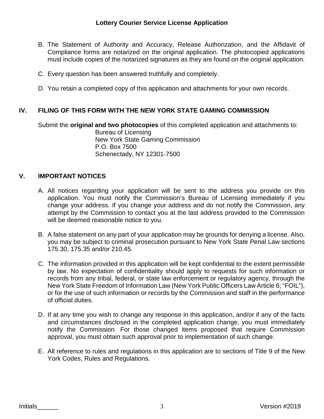- B. The Statement of Authority and Accuracy, Release Authorization, and the Affidavit of Compliance forms are notarized on the original application. The photocopied applications must include copies of the notarized signatures as they are found on the original application.
- C. Every question has been answered truthfully and completely.
- D. You retain a completed copy of this application and attachments for your own records.

## **IV. FILING OF THIS FORM WITH THE NEW YORK STATE GAMING COMMISSION**

Submit the **original and two photocopies** of this completed application and attachments to:

Bureau of Licensing New York State Gaming Commission P.O. Box 7500 Schenectady, NY 12301-7500

#### **V. IMPORTANT NOTICES**

- A. All notices regarding your application will be sent to the address you provide on this application. You must notify the Commission's Bureau of Licensing immediately if you change your address. If you change your address and do not notify the Commission, any attempt by the Commission to contact you at the last address provided to the Commission will be deemed reasonable notice to you.
- B. A false statement on any part of your application may be grounds for denying a license. Also, you may be subject to criminal prosecution pursuant to New York State Penal Law sections 175.30, 175.35 and/or 210.45.
- C. The information provided in this application will be kept confidential to the extent permissible by law. No expectation of confidentiality should apply to requests for such information or records from any tribal, federal, or state law enforcement or regulatory agency, through the New York State Freedom of Information Law (New York Public Officers Law Article 6; "FOIL"), or for the use of such information or records by the Commission and staff in the performance of official duties.
- D. If at any time you wish to change any response in this application, and/or if any of the facts and circumstances disclosed in the completed application change, you must immediately notify the Commission. For those changed items proposed that require Commission approval, you must obtain such approval prior to implementation of such change.
- E. All reference to rules and regulations in this application are to sections of Title 9 of the New York Codes, Rules and Regulations.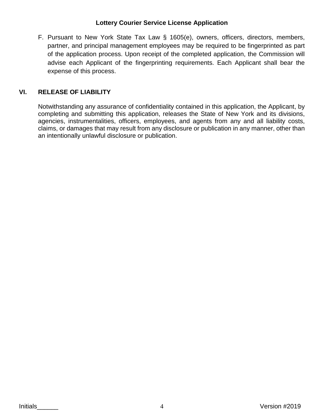F. Pursuant to New York State Tax Law § 1605(e), owners, officers, directors, members, partner, and principal management employees may be required to be fingerprinted as part of the application process. Upon receipt of the completed application, the Commission will advise each Applicant of the fingerprinting requirements. Each Applicant shall bear the expense of this process.

# **VI. RELEASE OF LIABILITY**

Notwithstanding any assurance of confidentiality contained in this application, the Applicant, by completing and submitting this application, releases the State of New York and its divisions, agencies, instrumentalities, officers, employees, and agents from any and all liability costs, claims, or damages that may result from any disclosure or publication in any manner, other than an intentionally unlawful disclosure or publication.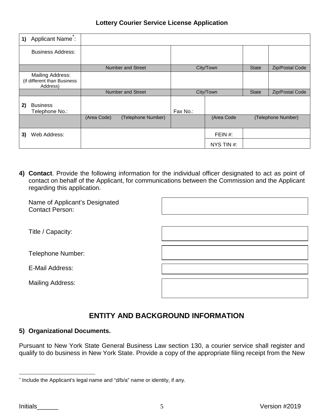| <b>Lottery Courier Service License Application</b> |  |  |  |
|----------------------------------------------------|--|--|--|
|----------------------------------------------------|--|--|--|

| 1) | <b>Applicant Name:</b>                                             |             |                          |          |            |              |                    |
|----|--------------------------------------------------------------------|-------------|--------------------------|----------|------------|--------------|--------------------|
|    | <b>Business Address:</b>                                           |             |                          |          |            |              |                    |
|    |                                                                    |             | <b>Number and Street</b> |          | City/Town  | <b>State</b> | Zip/Postal Code    |
|    | <b>Mailing Address:</b><br>(if different than Business<br>Address) |             |                          |          |            |              |                    |
|    |                                                                    |             | <b>Number and Street</b> |          | City/Town  | <b>State</b> | Zip/Postal Code    |
| 2) | <b>Business</b><br>Telephone No.:                                  |             |                          | Fax No.: |            |              |                    |
|    |                                                                    | (Area Code) | (Telephone Number)       |          | (Area Code |              | (Telephone Number) |
| 3) | Web Address:                                                       |             |                          |          | FEIN#:     |              |                    |
|    |                                                                    |             |                          |          | NYS TIN #: |              |                    |

**4) Contact**. Provide the following information for the individual officer designated to act as point of contact on behalf of the Applicant, for communications between the Commission and the Applicant regarding this application.

| Name of Applicant's Designated<br><b>Contact Person:</b> |  |
|----------------------------------------------------------|--|
|                                                          |  |

Title / Capacity:

Telephone Number:

E-Mail Address:

Mailing Address:

# **ENTITY AND BACKGROUND INFORMATION**

## **5) Organizational Documents.**

Pursuant to New York State General Business Law section 130, a courier service shall register and qualify to do business in New York State. Provide a copy of the appropriate filing receipt from the New

<span id="page-4-0"></span> <sup>\*</sup> Include the Applicant's legal name and "d/b/a" name or identity, if any.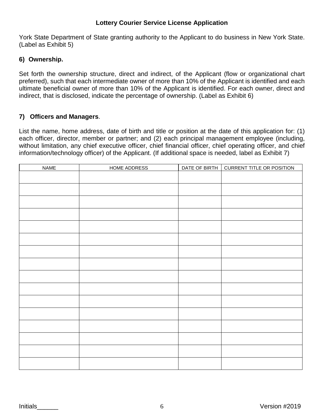York State Department of State granting authority to the Applicant to do business in New York State. (Label as Exhibit 5)

#### **6) Ownership.**

Set forth the ownership structure, direct and indirect, of the Applicant (flow or organizational chart preferred), such that each intermediate owner of more than 10% of the Applicant is identified and each ultimate beneficial owner of more than 10% of the Applicant is identified. For each owner, direct and indirect, that is disclosed, indicate the percentage of ownership. (Label as Exhibit 6)

#### **7) Officers and Managers**.

List the name, home address, date of birth and title or position at the date of this application for: (1) each officer, director, member or partner; and (2) each principal management employee (including, without limitation, any chief executive officer, chief financial officer, chief operating officer, and chief information/technology officer) of the Applicant. (If additional space is needed, label as Exhibit 7)

| <b>NAME</b> | <b>HOME ADDRESS</b> | DATE OF BIRTH | <b>CURRENT TITLE OR POSITION</b> |
|-------------|---------------------|---------------|----------------------------------|
|             |                     |               |                                  |
|             |                     |               |                                  |
|             |                     |               |                                  |
|             |                     |               |                                  |
|             |                     |               |                                  |
|             |                     |               |                                  |
|             |                     |               |                                  |
|             |                     |               |                                  |
|             |                     |               |                                  |
|             |                     |               |                                  |
|             |                     |               |                                  |
|             |                     |               |                                  |
|             |                     |               |                                  |
|             |                     |               |                                  |
|             |                     |               |                                  |
|             |                     |               |                                  |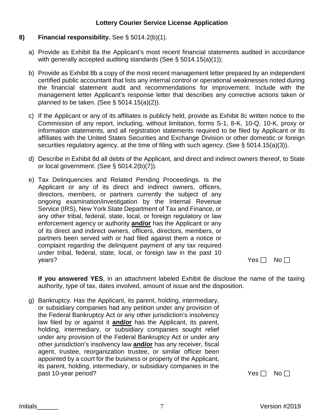#### **8) Financial responsibility.** See § 5014.2(b)(1).

- a) Provide as Exhibit 8a the Applicant's most recent financial statements audited in accordance with generally accepted auditing standards (See § 5014.15(a)(1));
- b) Provide as Exhibit 8b a copy of the most recent management letter prepared by an independent certified public accountant that lists any internal control or operational weaknesses noted during the financial statement audit and recommendations for improvement. Include with the management letter Applicant's response letter that describes any corrective actions taken or planned to be taken. (See §  $5014.15(a)(2)$ ).
- c) If the Applicant or any of its affiliates is publicly held, provide as Exhibit 8c written notice to the Commission of any report, including, without limitation, forms S-1, 8-K, 10-Q, 10-K, proxy or information statements, and all registration statements required to be filed by Applicant or its affiliates with the United States Securities and Exchange Division or other domestic or foreign securities regulatory agency, at the time of filing with such agency. (See § 5014.15(a)(3)).
- d) Describe in Exhibit 8d all debts of the Applicant, and direct and indirect owners thereof, to State or local government. (See § 5014.2(b)(7)).
- e) Tax Delinquencies and Related Pending Proceedings. Is the Applicant or any of its direct and indirect owners, officers, directors, members, or partners currently the subject of any ongoing examination/investigation by the Internal Revenue Service (IRS), New York State Department of Tax and Finance, or any other tribal, federal, state, local, or foreign regulatory or law enforcement agency or authority **and/or** has the Applicant or any of its direct and indirect owners, officers, directors, members, or partners been served with or had filed against them a notice or complaint regarding the delinquent payment of any tax required under tribal, federal, state, local, or foreign law in the past 10  $\gamma$ ears? Yes  $\Box$  No  $\Box$

**If you answered YES**, in an attachment labeled Exhibit 8e disclose the name of the taxing authority, type of tax, dates involved, amount of issue and the disposition.

g) Bankruptcy. Has the Applicant, its parent, holding, intermediary, or subsidiary companies had any petition under any provision of the Federal Bankruptcy Act or any other jurisdiction's insolvency law filed by or against it **and/or** has the Applicant, its parent, holding, intermediary, or subsidiary companies sought relief under any provision of the Federal Bankruptcy Act or under any other jurisdiction's insolvency law **and/or** has any receiver, fiscal agent, trustee, reorganization trustee, or similar officer been appointed by a court for the business or property of the Applicant, its parent, holding, intermediary, or subsidiary companies in the past 10-year period?

| -5 | N٥ |
|----|----|
|----|----|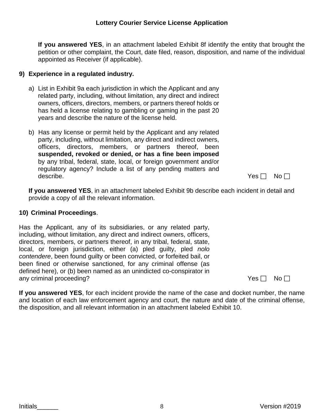**If you answered YES**, in an attachment labeled Exhibit 8f identify the entity that brought the petition or other complaint, the Court, date filed, reason, disposition, and name of the individual appointed as Receiver (if applicable).

## **9) Experience in a regulated industry.**

- a) List in Exhibit 9a each jurisdiction in which the Applicant and any related party, including, without limitation, any direct and indirect owners, officers, directors, members, or partners thereof holds or has held a license relating to gambling or gaming in the past 20 years and describe the nature of the license held.
- b) Has any license or permit held by the Applicant and any related party, including, without limitation, any direct and indirect owners, officers, directors, members, or partners thereof, been **suspended, revoked or denied, or has a fine been imposed**  by any tribal, federal, state, local, or foreign government and/or regulatory agency? Include a list of any pending matters and describe.  $\blacksquare$  No  $\blacksquare$

|    | No |  |
|----|----|--|
| es |    |  |

**If you answered YES**, in an attachment labeled Exhibit 9b describe each incident in detail and provide a copy of all the relevant information.

#### **10) Criminal Proceedings**.

Has the Applicant, any of its subsidiaries, or any related party, including, without limitation, any direct and indirect owners, officers, directors, members, or partners thereof, in any tribal, federal, state, local, or foreign jurisdiction, either (a) pled guilty, pled *nolo contendere*, been found guilty or been convicted, or forfeited bail, or been fined or otherwise sanctioned, for any criminal offense (as defined here), or (b) been named as an unindicted co-conspirator in any criminal proceeding?  $\Box$  No  $\Box$ 

**If you answered YES**, for each incident provide the name of the case and docket number, the name and location of each law enforcement agency and court, the nature and date of the criminal offense, the disposition, and all relevant information in an attachment labeled Exhibit 10.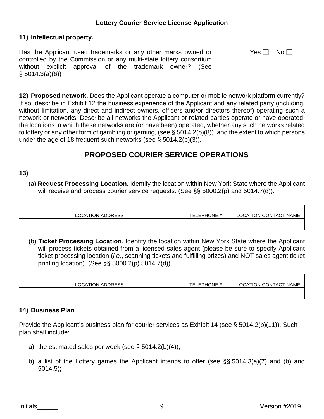#### **11) Intellectual property.**

Has the Applicant used trademarks or any other marks owned or controlled by the Commission or any multi-state lottery consortium without explicit approval of the trademark owner? (See  $§ 5014.3(a)(6))$ 

Yes  $\Box$  No  $\Box$ 

**12) Proposed network.** Does the Applicant operate a computer or mobile network platform currently? If so, describe in Exhibit 12 the business experience of the Applicant and any related party (including, without limitation, any direct and indirect owners, officers and/or directors thereof) operating such a network or networks. Describe all networks the Applicant or related parties operate or have operated, the locations in which these networks are (or have been) operated, whether any such networks related to lottery or any other form of gambling or gaming, (see § 5014.2(b)(8)), and the extent to which persons under the age of 18 frequent such networks (see § 5014.2(b)(3)).

# **PROPOSED COURIER SERVICE OPERATIONS**

#### **13)**

(a) **Request Processing Location.** Identify the location within New York State where the Applicant will receive and process courier service requests. (See §§ 5000.2(p) and 5014.7(d)).

| LOCATION ADDRESS | TELEPHONE # | LOCATION CONTACT NAME |
|------------------|-------------|-----------------------|
|                  |             |                       |

(b) **Ticket Processing Location**. Identify the location within New York State where the Applicant will process tickets obtained from a licensed sales agent (please be sure to specify Applicant ticket processing location (*i.e.*, scanning tickets and fulfilling prizes) and NOT sales agent ticket printing location). (See §§ 5000.2(p) 5014.7(d)).

| <b>LOCATION ADDRESS</b> | TELEPHONE # | LOCATION CONTACT NAME |
|-------------------------|-------------|-----------------------|
|                         |             |                       |

#### **14) Business Plan**

Provide the Applicant's business plan for courier services as Exhibit 14 (see § 5014.2(b)(11)). Such plan shall include:

- a) the estimated sales per week (see  $\S$  5014.2(b)(4));
- b) a list of the Lottery games the Applicant intends to offer (see §§ 5014.3(a)(7) and (b) and 5014.5);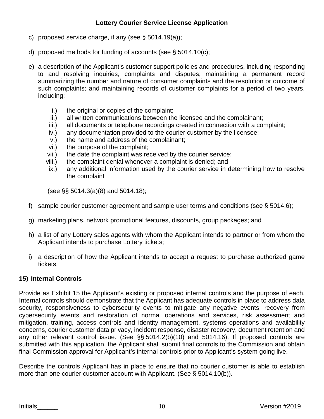- c) proposed service charge, if any (see  $\S$  5014.19(a));
- d) proposed methods for funding of accounts (see § 5014.10(c);
- e) a description of the Applicant's customer support policies and procedures, including responding to and resolving inquiries, complaints and disputes; maintaining a permanent record summarizing the number and nature of consumer complaints and the resolution or outcome of such complaints; and maintaining records of customer complaints for a period of two years, including:
	- i.) the original or copies of the complaint;
	- ii.) all written communications between the licensee and the complainant;
	- iii.) all documents or telephone recordings created in connection with a complaint;
	- iv.) any documentation provided to the courier customer by the licensee;
	- v.) the name and address of the complainant;
	-
	- vi.) the purpose of the complaint;<br>vii.) the date the complaint was ree the date the complaint was received by the courier service;
	- viii.) the complaint denial whenever a complaint is denied; and
	- ix.) any additional information used by the courier service in determining how to resolve the complaint

(see §§ 5014.3(a)(8) and 5014.18);

- f) sample courier customer agreement and sample user terms and conditions (see § 5014.6);
- g) marketing plans, network promotional features, discounts, group packages; and
- h) a list of any Lottery sales agents with whom the Applicant intends to partner or from whom the Applicant intends to purchase Lottery tickets;
- i) a description of how the Applicant intends to accept a request to purchase authorized game tickets.

## **15) Internal Controls**

Provide as Exhibit 15 the Applicant's existing or proposed internal controls and the purpose of each. Internal controls should demonstrate that the Applicant has adequate controls in place to address data security, responsiveness to cybersecurity events to mitigate any negative events, recovery from cybersecurity events and restoration of normal operations and services, risk assessment and mitigation, training, access controls and identity management, systems operations and availability concerns, courier customer data privacy, incident response, disaster recovery, document retention and any other relevant control issue. (See §§ 5014.2(b)(10) and 5014.16). If proposed controls are submitted with this application, the Applicant shall submit final controls to the Commission and obtain final Commission approval for Applicant's internal controls prior to Applicant's system going live.

Describe the controls Applicant has in place to ensure that no courier customer is able to establish more than one courier customer account with Applicant. (See § 5014.10(b)).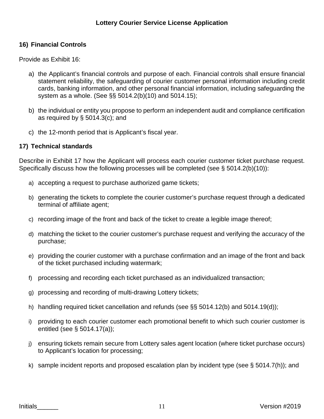# **16) Financial Controls**

Provide as Exhibit 16:

- a) the Applicant's financial controls and purpose of each. Financial controls shall ensure financial statement reliability, the safeguarding of courier customer personal information including credit cards, banking information, and other personal financial information, including safeguarding the system as a whole. (See §§ 5014.2(b)(10) and 5014.15);
- b) the individual or entity you propose to perform an independent audit and compliance certification as required by § 5014.3(c); and
- c) the 12-month period that is Applicant's fiscal year.

## **17) Technical standards**

Describe in Exhibit 17 how the Applicant will process each courier customer ticket purchase request. Specifically discuss how the following processes will be completed (see § 5014.2(b)(10)):

- a) accepting a request to purchase authorized game tickets;
- b) generating the tickets to complete the courier customer's purchase request through a dedicated terminal of affiliate agent;
- c) recording image of the front and back of the ticket to create a legible image thereof;
- d) matching the ticket to the courier customer's purchase request and verifying the accuracy of the purchase;
- e) providing the courier customer with a purchase confirmation and an image of the front and back of the ticket purchased including watermark;
- f) processing and recording each ticket purchased as an individualized transaction;
- g) processing and recording of multi-drawing Lottery tickets;
- h) handling required ticket cancellation and refunds (see §§ 5014.12(b) and 5014.19(d));
- i) providing to each courier customer each promotional benefit to which such courier customer is entitled (see § 5014.17(a));
- j) ensuring tickets remain secure from Lottery sales agent location (where ticket purchase occurs) to Applicant's location for processing;
- k) sample incident reports and proposed escalation plan by incident type (see § 5014.7(h)); and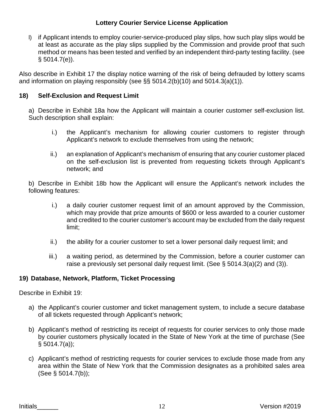l) if Applicant intends to employ courier-service-produced play slips, how such play slips would be at least as accurate as the play slips supplied by the Commission and provide proof that such method or means has been tested and verified by an independent third-party testing facility. (see  $§ 5014.7(e)$ ).

Also describe in Exhibit 17 the display notice warning of the risk of being defrauded by lottery scams and information on playing responsibly (see §§ 5014.2(b)(10) and 5014.3(a)(1)).

# **18) Self-Exclusion and Request Limit**

a) Describe in Exhibit 18a how the Applicant will maintain a courier customer self-exclusion list. Such description shall explain:

- i.) the Applicant's mechanism for allowing courier customers to register through Applicant's network to exclude themselves from using the network;
- ii.) an explanation of Applicant's mechanism of ensuring that any courier customer placed on the self-exclusion list is prevented from requesting tickets through Applicant's network; and

b) Describe in Exhibit 18b how the Applicant will ensure the Applicant's network includes the following features:

- i.) a daily courier customer request limit of an amount approved by the Commission, which may provide that prize amounts of \$600 or less awarded to a courier customer and credited to the courier customer's account may be excluded from the daily request limit;
- ii.) the ability for a courier customer to set a lower personal daily request limit; and
- iii.) a waiting period, as determined by the Commission, before a courier customer can raise a previously set personal daily request limit. (See  $\S$  5014.3(a)(2) and (3)).

## **19) Database, Network, Platform, Ticket Processing**

Describe in Exhibit 19:

- a) the Applicant's courier customer and ticket management system, to include a secure database of all tickets requested through Applicant's network;
- b) Applicant's method of restricting its receipt of requests for courier services to only those made by courier customers physically located in the State of New York at the time of purchase (See  $§ 5014.7(a)$ ;
- c) Applicant's method of restricting requests for courier services to exclude those made from any area within the State of New York that the Commission designates as a prohibited sales area (See § 5014.7(b));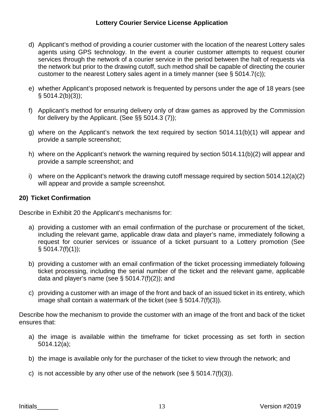- d) Applicant's method of providing a courier customer with the location of the nearest Lottery sales agents using GPS technology. In the event a courier customer attempts to request courier services through the network of a courier service in the period between the halt of requests via the network but prior to the drawing cutoff, such method shall be capable of directing the courier customer to the nearest Lottery sales agent in a timely manner (see § 5014.7(c));
- e) whether Applicant's proposed network is frequented by persons under the age of 18 years (see  $§$  5014.2(b)(3));
- f) Applicant's method for ensuring delivery only of draw games as approved by the Commission for delivery by the Applicant. (See §§ 5014.3 (7));
- g) where on the Applicant's network the text required by section 5014.11(b)(1) will appear and provide a sample screenshot;
- h) where on the Applicant's network the warning required by section 5014.11(b)(2) will appear and provide a sample screenshot; and
- i) where on the Applicant's network the drawing cutoff message required by section 5014.12(a)(2) will appear and provide a sample screenshot.

# **20) Ticket Confirmation**

Describe in Exhibit 20 the Applicant's mechanisms for:

- a) providing a customer with an email confirmation of the purchase or procurement of the ticket, including the relevant game, applicable draw data and player's name, immediately following a request for courier services or issuance of a ticket pursuant to a Lottery promotion (See  $§ 5014.7(f)(1));$
- b) providing a customer with an email confirmation of the ticket processing immediately following ticket processing, including the serial number of the ticket and the relevant game, applicable data and player's name (see  $\S$  5014.7(f)(2)); and
- c) providing a customer with an image of the front and back of an issued ticket in its entirety, which image shall contain a watermark of the ticket (see  $\S$  5014.7(f)(3)).

Describe how the mechanism to provide the customer with an image of the front and back of the ticket ensures that:

- a) the image is available within the timeframe for ticket processing as set forth in section 5014.12(a);
- b) the image is available only for the purchaser of the ticket to view through the network; and
- c) is not accessible by any other use of the network (see  $\S 5014.7(f)(3)$ ).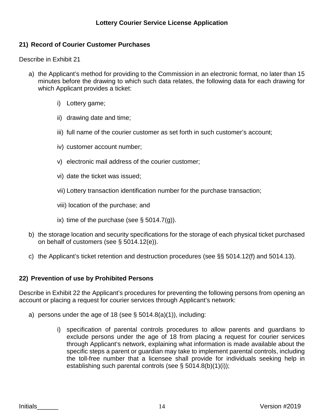# **21) Record of Courier Customer Purchases**

Describe in Exhibit 21

- a) the Applicant's method for providing to the Commission in an electronic format, no later than 15 minutes before the drawing to which such data relates, the following data for each drawing for which Applicant provides a ticket:
	- i) Lottery game;
	- ii) drawing date and time;
	- iii) full name of the courier customer as set forth in such customer's account;
	- iv) customer account number;
	- v) electronic mail address of the courier customer;
	- vi) date the ticket was issued;
	- vii) Lottery transaction identification number for the purchase transaction;
	- viii) location of the purchase; and
	- ix) time of the purchase (see  $\S$  5014.7(g)).
- b) the storage location and security specifications for the storage of each physical ticket purchased on behalf of customers (see § 5014.12(e)).
- c) the Applicant's ticket retention and destruction procedures (see §§ 5014.12(f) and 5014.13).

## **22) Prevention of use by Prohibited Persons**

Describe in Exhibit 22 the Applicant's procedures for preventing the following persons from opening an account or placing a request for courier services through Applicant's network:

- a) persons under the age of 18 (see  $\S$  5014.8(a)(1)), including:
	- i) specification of parental controls procedures to allow parents and guardians to exclude persons under the age of 18 from placing a request for courier services through Applicant's network, explaining what information is made available about the specific steps a parent or guardian may take to implement parental controls, including the toll-free number that a licensee shall provide for individuals seeking help in establishing such parental controls (see § 5014.8(b)(1)(i));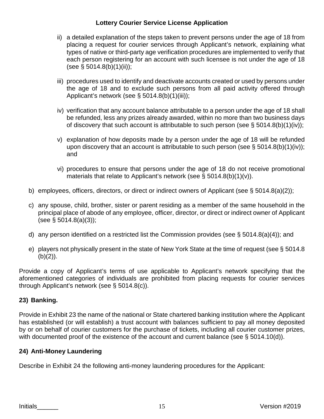- ii) a detailed explanation of the steps taken to prevent persons under the age of 18 from placing a request for courier services through Applicant's network, explaining what types of native or third-party age verification procedures are implemented to verify that each person registering for an account with such licensee is not under the age of 18  $(see § 5014.8(b)(1)(ii))$ ;
- iii) procedures used to identify and deactivate accounts created or used by persons under the age of 18 and to exclude such persons from all paid activity offered through Applicant's network (see § 5014.8(b)(1)(iii));
- iv) verification that any account balance attributable to a person under the age of 18 shall be refunded, less any prizes already awarded, within no more than two business days of discovery that such account is attributable to such person (see § 5014.8(b)(1)(iv));
- v) explanation of how deposits made by a person under the age of 18 will be refunded upon discovery that an account is attributable to such person (see  $\S$  5014.8(b)(1)(iv)); and
- vi) procedures to ensure that persons under the age of 18 do not receive promotional materials that relate to Applicant's network (see § 5014.8(b)(1)(v)).
- b) employees, officers, directors, or direct or indirect owners of Applicant (see § 5014.8(a)(2));
- c) any spouse, child, brother, sister or parent residing as a member of the same household in the principal place of abode of any employee, officer, director, or direct or indirect owner of Applicant (see § 5014.8(a)(3));
- d) any person identified on a restricted list the Commission provides (see § 5014.8(a)(4)); and
- e) players not physically present in the state of New York State at the time of request (see § 5014.8  $(b)(2)$ ).

Provide a copy of Applicant's terms of use applicable to Applicant's network specifying that the aforementioned categories of individuals are prohibited from placing requests for courier services through Applicant's network (see § 5014.8(c)).

# **23) Banking.**

Provide in Exhibit 23 the name of the national or State chartered banking institution where the Applicant has established (or will establish) a trust account with balances sufficient to pay all money deposited by or on behalf of courier customers for the purchase of tickets, including all courier customer prizes, with documented proof of the existence of the account and current balance (see § 5014.10(d)).

# **24) Anti-Money Laundering**

Describe in Exhibit 24 the following anti-money laundering procedures for the Applicant: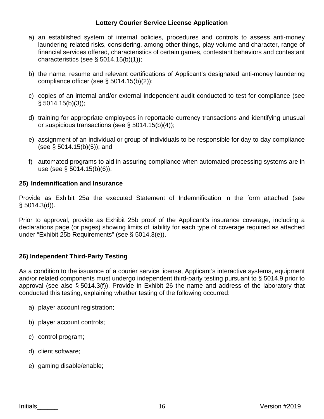- a) an established system of internal policies, procedures and controls to assess anti-money laundering related risks, considering, among other things, play volume and character, range of financial services offered, characteristics of certain games, contestant behaviors and contestant characteristics (see § 5014.15(b)(1));
- b) the name, resume and relevant certifications of Applicant's designated anti-money laundering compliance officer (see § 5014.15(b)(2));
- c) copies of an internal and/or external independent audit conducted to test for compliance (see  $§ 5014.15(b)(3)$ ;
- d) training for appropriate employees in reportable currency transactions and identifying unusual or suspicious transactions (see § 5014.15(b)(4));
- e) assignment of an individual or group of individuals to be responsible for day-to-day compliance (see § 5014.15(b)(5)); and
- f) automated programs to aid in assuring compliance when automated processing systems are in use (see § 5014.15(b)(6)).

#### **25) Indemnification and Insurance**

Provide as Exhibit 25a the executed Statement of Indemnification in the form attached (see  $§ 5014.3(d)$ .

Prior to approval, provide as Exhibit 25b proof of the Applicant's insurance coverage, including a declarations page (or pages) showing limits of liability for each type of coverage required as attached under "Exhibit 25b Requirements" (see § 5014.3(e)).

## **26) Independent Third-Party Testing**

As a condition to the issuance of a courier service license, Applicant's interactive systems, equipment and/or related components must undergo independent third-party testing pursuant to § 5014.9 prior to approval (see also § 5014.3(f)). Provide in Exhibit 26 the name and address of the laboratory that conducted this testing, explaining whether testing of the following occurred:

- a) player account registration;
- b) player account controls;
- c) control program;
- d) client software;
- e) gaming disable/enable;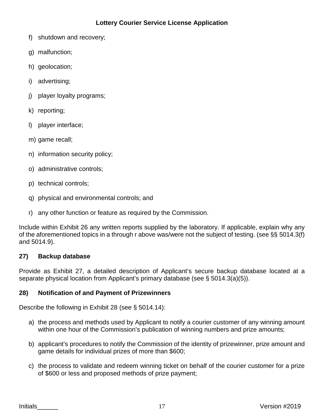- f) shutdown and recovery;
- g) malfunction;
- h) geolocation;
- i) advertising;
- j) player loyalty programs;
- k) reporting;
- l) player interface;
- m) game recall;
- n) information security policy;
- o) administrative controls;
- p) technical controls;
- q) physical and environmental controls; and
- r) any other function or feature as required by the Commission.

Include within Exhibit 26 any written reports supplied by the laboratory. If applicable, explain why any of the aforementioned topics in a through r above was/were not the subject of testing. (see §§ 5014.3(f) and 5014.9).

# **27) Backup database**

Provide as Exhibit 27, a detailed description of Applicant's secure backup database located at a separate physical location from Applicant's primary database (see § 5014.3(a)(5)).

# **28) Notification of and Payment of Prizewinners**

Describe the following in Exhibit 28 (see § 5014.14):

- a) the process and methods used by Applicant to notify a courier customer of any winning amount within one hour of the Commission's publication of winning numbers and prize amounts;
- b) applicant's procedures to notify the Commission of the identity of prizewinner, prize amount and game details for individual prizes of more than \$600;
- c) the process to validate and redeem winning ticket on behalf of the courier customer for a prize of \$600 or less and proposed methods of prize payment;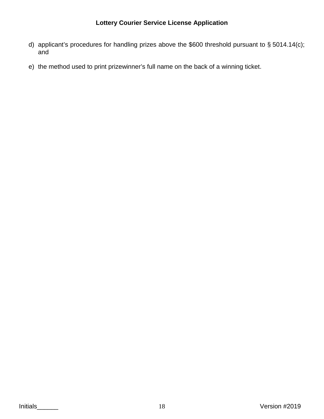- d) applicant's procedures for handling prizes above the \$600 threshold pursuant to § 5014.14(c); and
- e) the method used to print prizewinner's full name on the back of a winning ticket.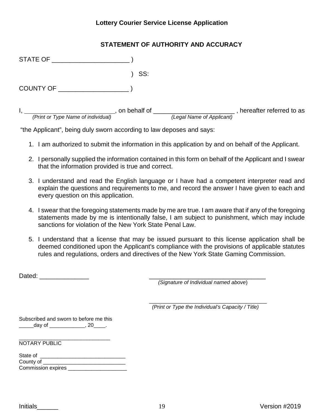# **STATEMENT OF AUTHORITY AND ACCURACY**

| STATE OF                           |              |                           |                          |
|------------------------------------|--------------|---------------------------|--------------------------|
|                                    | SS:          |                           |                          |
| <b>COUNTY OF</b>                   |              |                           |                          |
| (Print or Type Name of individual) | on behalf of | (Legal Name of Applicant) | hereafter referred to as |

"the Applicant", being duly sworn according to law deposes and says:

- 1. I am authorized to submit the information in this application by and on behalf of the Applicant.
- 2. I personally supplied the information contained in this form on behalf of the Applicant and I swear that the information provided is true and correct.
- 3. I understand and read the English language or I have had a competent interpreter read and explain the questions and requirements to me, and record the answer I have given to each and every question on this application.
- 4. I swear that the foregoing statements made by me are true. I am aware that if any of the foregoing statements made by me is intentionally false, I am subject to punishment, which may include sanctions for violation of the New York State Penal Law.
- 5. I understand that a license that may be issued pursuant to this license application shall be deemed conditioned upon the Applicant's compliance with the provisions of applicable statutes rules and regulations, orders and directives of the New York State Gaming Commission.

Dated:  $\Box$ 

*(Signature of Individual named above*)

\_\_\_\_\_\_\_\_\_\_\_\_\_\_\_\_\_\_\_\_\_\_\_\_\_\_\_\_\_\_\_\_\_\_\_\_\_\_\_\_  *(Print or Type the Individual's Capacity / Title)*

Subscribed and sworn to before me this \_\_\_\_\_day of \_\_\_\_\_\_\_\_\_\_\_\_, 20\_\_\_\_.

| State of           |  |
|--------------------|--|
| County of          |  |
| Commission expires |  |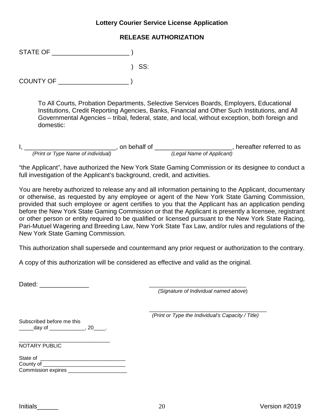## **RELEASE AUTHORIZATION**

| <b>STATE OF</b>  |     |
|------------------|-----|
|                  | SS: |
| <b>COUNTY OF</b> |     |

To All Courts, Probation Departments, Selective Services Boards, Employers, Educational Institutions, Credit Reporting Agencies, Banks, Financial and Other Such Institutions, and All Governmental Agencies – tribal, federal, state, and local, without exception, both foreign and domestic:

|                                    | on behalf of |                           | hereafter referred to as |
|------------------------------------|--------------|---------------------------|--------------------------|
| (Print or Type Name of individual) |              | (Legal Name of Applicant) |                          |

"the Applicant", have authorized the New York State Gaming Commission or its designee to conduct a full investigation of the Applicant's background, credit, and activities.

You are hereby authorized to release any and all information pertaining to the Applicant, documentary or otherwise, as requested by any employee or agent of the New York State Gaming Commission, provided that such employee or agent certifies to you that the Applicant has an application pending before the New York State Gaming Commission or that the Applicant is presently a licensee, registrant or other person or entity required to be qualified or licensed pursuant to the New York State Racing, Pari-Mutuel Wagering and Breeding Law, New York State Tax Law, and/or rules and regulations of the New York State Gaming Commission.

This authorization shall supersede and countermand any prior request or authorization to the contrary.

A copy of this authorization will be considered as effective and valid as the original.

Dated:  $\Box$ 

*(Signature of Individual named above*)

\_\_\_\_\_\_\_\_\_\_\_\_\_\_\_\_\_\_\_\_\_\_\_\_\_\_\_\_\_\_\_\_\_\_\_\_\_\_\_\_  *(Print or Type the Individual's Capacity / Title)*

Subscribed before me this \_\_\_\_\_day of \_\_\_\_\_\_\_\_\_\_\_\_, 20\_\_\_\_.

| State of           |  |
|--------------------|--|
| County of          |  |
| Commission expires |  |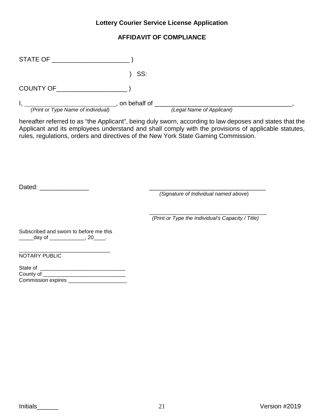# **AFFIDAVIT OF COMPLIANCE**

| <b>STATE OF</b>                    |              |                           |  |
|------------------------------------|--------------|---------------------------|--|
|                                    | SS:          |                           |  |
| <b>COUNTY OF</b>                   |              |                           |  |
| (Print or Type Name of individual) | on behalf of | (Legal Name of Applicant) |  |

hereafter referred to as "the Applicant", being duly sworn, according to law deposes and states that the Applicant and its employees understand and shall comply with the provisions of applicable statutes, rules, regulations, orders and directives of the New York State Gaming Commission.

Dated: \_\_\_\_\_\_\_\_\_\_\_\_\_\_ \_\_\_\_\_\_\_\_\_\_\_\_\_\_\_\_\_\_\_\_\_\_\_\_\_\_\_\_\_\_\_\_\_ *(Signature of Individual named above*)

\_\_\_\_\_\_\_\_\_\_\_\_\_\_\_\_\_\_\_\_\_\_\_\_\_\_\_\_\_\_\_\_\_\_\_\_\_\_\_\_  *(Print or Type the Individual's Capacity / Title)*

Subscribed and sworn to before me this \_\_\_\_\_day of \_\_\_\_\_\_\_\_\_\_\_\_, 20\_\_\_\_.

| State of           |  |
|--------------------|--|
| County of          |  |
| Commission expires |  |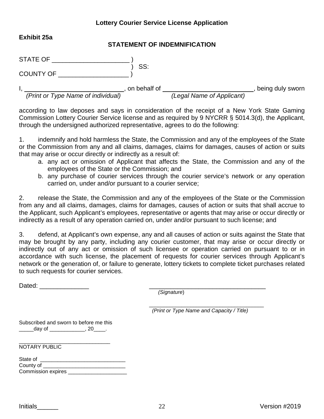#### **Exhibit 25a**

#### **STATEMENT OF INDEMNIFICATION**

| STATE OF |  |
|----------|--|
|          |  |

COUNTY OF \_\_\_\_\_\_\_\_\_\_\_\_\_\_\_\_\_\_\_\_ )

I, \_\_\_\_\_\_\_\_\_\_\_\_\_\_\_\_\_\_\_\_\_\_\_\_\_\_\_\_\_\_\_\_\_, on behalf of \_\_\_\_\_\_\_\_\_\_\_\_\_\_\_\_\_\_\_\_\_\_\_\_\_\_\_\_\_, being duly sworn

 *(Print or Type Name of individual) (Legal Name of Applicant)*

according to law deposes and says in consideration of the receipt of a New York State Gaming Commission Lottery Courier Service license and as required by 9 NYCRR § 5014.3(d), the Applicant, through the undersigned authorized representative, agrees to do the following:

1. indemnify and hold harmless the State, the Commission and any of the employees of the State or the Commission from any and all claims, damages, claims for damages, causes of action or suits that may arise or occur directly or indirectly as a result of:

- a. any act or omission of Applicant that affects the State, the Commission and any of the employees of the State or the Commission; and
- b. any purchase of courier services through the courier service's network or any operation carried on, under and/or pursuant to a courier service;

2. release the State, the Commission and any of the employees of the State or the Commission from any and all claims, damages, claims for damages, causes of action or suits that shall accrue to the Applicant, such Applicant's employees, representative or agents that may arise or occur directly or indirectly as a result of any operation carried on, under and/or pursuant to such license; and

3. defend, at Applicant's own expense, any and all causes of action or suits against the State that may be brought by any party, including any courier customer, that may arise or occur directly or indirectly out of any act or omission of such licensee or operation carried on pursuant to or in accordance with such license, the placement of requests for courier services through Applicant's network or the generation of, or failure to generate, lottery tickets to complete ticket purchases related to such requests for courier services.

Dated:  $\Box$ 

*(Signature*)

\_\_\_\_\_\_\_\_\_\_\_\_\_\_\_\_\_\_\_\_\_\_\_\_\_\_\_\_\_\_\_\_\_\_\_\_\_\_\_  *(Print or Type Name and Capacity / Title)*

Subscribed and sworn to before me this \_\_\_\_\_day of \_\_\_\_\_\_\_\_\_\_\_\_, 20\_\_\_\_.

| State of           |  |
|--------------------|--|
| County of          |  |
| Commission expires |  |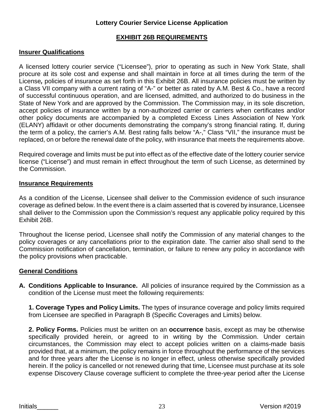## **EXHIBIT 26B REQUIREMENTS**

#### **Insurer Qualifications**

A licensed lottery courier service ("Licensee"), prior to operating as such in New York State, shall procure at its sole cost and expense and shall maintain in force at all times during the term of the License*,* policies of insurance as set forth in this Exhibit 26B. All insurance policies must be written by a Class VII company with a current rating of "A-" or better as rated by A.M. Best & Co., have a record of successful continuous operation, and are licensed, admitted, and authorized to do business in the State of New York and are approved by the Commission. The Commission may, in its sole discretion, accept policies of insurance written by a non-authorized carrier or carriers when certificates and/or other policy documents are accompanied by a completed Excess Lines Association of New York (ELANY) affidavit or other documents demonstrating the company's strong financial rating. If, during the term of a policy, the carrier's A.M. Best rating falls below "A-," Class "VII," the insurance must be replaced, on or before the renewal date of the policy, with insurance that meets the requirements above.

Required coverage and limits must be put into effect as of the effective date of the lottery courier service license ("License") and must remain in effect throughout the term of such License, as determined by the Commission.

#### **Insurance Requirements**

As a condition of the License, Licensee shall deliver to the Commission evidence of such insurance coverage as defined below. In the event there is a claim asserted that is covered by insurance, Licensee shall deliver to the Commission upon the Commission's request any applicable policy required by this Exhibit 26B.

Throughout the license period, Licensee shall notify the Commission of any material changes to the policy coverages or any cancellations prior to the expiration date. The carrier also shall send to the Commission notification of cancellation, termination, or failure to renew any policy in accordance with the policy provisions when practicable.

#### **General Conditions**

**A. Conditions Applicable to Insurance.** All policies of insurance required by the Commission as a condition of the License must meet the following requirements:

**1. Coverage Types and Policy Limits.** The types of insurance coverage and policy limits required from Licensee are specified in Paragraph B (Specific Coverages and Limits) below.

**2. Policy Forms.** Policies must be written on an **occurrence** basis, except as may be otherwise specifically provided herein, or agreed to in writing by the Commission. Under certain circumstances, the Commission may elect to accept policies written on a claims-made basis provided that, at a minimum, the policy remains in force throughout the performance of the services and for three years after the License is no longer in effect, unless otherwise specifically provided herein. If the policy is cancelled or not renewed during that time, Licensee must purchase at its sole expense Discovery Clause coverage sufficient to complete the three-year period after the License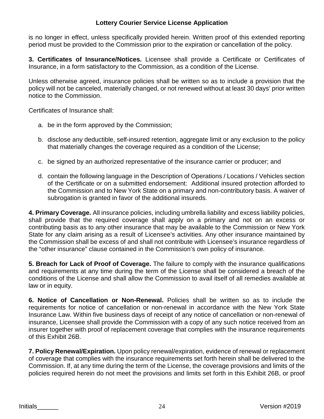is no longer in effect, unless specifically provided herein. Written proof of this extended reporting period must be provided to the Commission prior to the expiration or cancellation of the policy.

**3. Certificates of Insurance/Notices.** Licensee shall provide a Certificate or Certificates of Insurance, in a form satisfactory to the Commission, as a condition of the License.

Unless otherwise agreed, insurance policies shall be written so as to include a provision that the policy will not be canceled, materially changed, or not renewed without at least 30 days' prior written notice to the Commission.

Certificates of Insurance shall:

- a. be in the form approved by the Commission;
- b. disclose any deductible, self-insured retention, aggregate limit or any exclusion to the policy that materially changes the coverage required as a condition of the License;
- c. be signed by an authorized representative of the insurance carrier or producer; and
- d. contain the following language in the Description of Operations / Locations / Vehicles section of the Certificate or on a submitted endorsement: Additional insured protection afforded to the Commission and to New York State on a primary and non-contributory basis. A waiver of subrogation is granted in favor of the additional insureds.

**4. Primary Coverage.** All insurance policies, including umbrella liability and excess liability policies, shall provide that the required coverage shall apply on a primary and not on an excess or contributing basis as to any other insurance that may be available to the Commission or New York State for any claim arising as a result of Licensee's activities. Any other insurance maintained by the Commission shall be excess of and shall not contribute with Licensee's insurance regardless of the "other insurance" clause contained in the Commission's own policy of insurance.

**5. Breach for Lack of Proof of Coverage.** The failure to comply with the insurance qualifications and requirements at any time during the term of the License shall be considered a breach of the conditions of the License and shall allow the Commission to avail itself of all remedies available at law or in equity.

**6. Notice of Cancellation or Non-Renewal.** Policies shall be written so as to include the requirements for notice of cancellation or non-renewal in accordance with the New York State Insurance Law. Within five business days of receipt of any notice of cancellation or non-renewal of insurance, Licensee shall provide the Commission with a copy of any such notice received from an insurer together with proof of replacement coverage that complies with the insurance requirements of this Exhibit 26B.

**7. Policy Renewal/Expiration.** Upon policy renewal/expiration, evidence of renewal or replacement of coverage that complies with the insurance requirements set forth herein shall be delivered to the Commission. If, at any time during the term of the License, the coverage provisions and limits of the policies required herein do not meet the provisions and limits set forth in this Exhibit 26B, or proof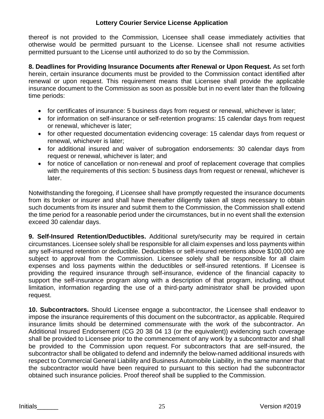thereof is not provided to the Commission, Licensee shall cease immediately activities that otherwise would be permitted pursuant to the License. Licensee shall not resume activities permitted pursuant to the License until authorized to do so by the Commission.

**8. Deadlines for Providing Insurance Documents after Renewal or Upon Request.** As set forth herein, certain insurance documents must be provided to the Commission contact identified after renewal or upon request. This requirement means that Licensee shall provide the applicable insurance document to the Commission as soon as possible but in no event later than the following time periods:

- for certificates of insurance: 5 business days from request or renewal, whichever is later;
- for information on self-insurance or self-retention programs: 15 calendar days from request or renewal, whichever is later;
- for other requested documentation evidencing coverage: 15 calendar days from request or renewal, whichever is later;
- for additional insured and waiver of subrogation endorsements: 30 calendar days from request or renewal, whichever is later; and
- for notice of cancellation or non-renewal and proof of replacement coverage that complies with the requirements of this section: 5 business days from request or renewal, whichever is later.

Notwithstanding the foregoing, if Licensee shall have promptly requested the insurance documents from its broker or insurer and shall have thereafter diligently taken all steps necessary to obtain such documents from its insurer and submit them to the Commission, the Commission shall extend the time period for a reasonable period under the circumstances, but in no event shall the extension exceed 30 calendar days.

**9. Self-Insured Retention/Deductibles.** Additional surety/security may be required in certain circumstances. Licensee solely shall be responsible for all claim expenses and loss payments within any self-insured retention or deductible. Deductibles or self-insured retentions above \$100,000 are subject to approval from the Commission. Licensee solely shall be responsible for all claim expenses and loss payments within the deductibles or self-insured retentions. If Licensee is providing the required insurance through self-insurance, evidence of the financial capacity to support the self-insurance program along with a description of that program, including, without limitation, information regarding the use of a third-party administrator shall be provided upon request.

**10. Subcontractors.** Should Licensee engage a subcontractor, the Licensee shall endeavor to impose the insurance requirements of this document on the subcontractor, as applicable. Required insurance limits should be determined commensurate with the work of the subcontractor. An Additional Insured Endorsement (CG 20 38 04 13 (or the equivalent)) evidencing such coverage shall be provided to Licensee prior to the commencement of any work by a subcontractor and shall be provided to the Commission upon request. For subcontractors that are self-insured, the subcontractor shall be obligated to defend and indemnify the below-named additional insureds with respect to Commercial General Liability and Business Automobile Liability, in the same manner that the subcontractor would have been required to pursuant to this section had the subcontractor obtained such insurance policies. Proof thereof shall be supplied to the Commission.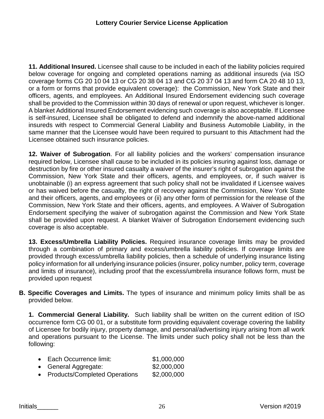**11. Additional Insured.** Licensee shall cause to be included in each of the liability policies required below coverage for ongoing and completed operations naming as additional insureds (via ISO coverage forms CG 20 10 04 13 or CG 20 38 04 13 and CG 20 37 04 13 and form CA 20 48 10 13, or a form or forms that provide equivalent coverage): the Commission, New York State and their officers, agents, and employees. An Additional Insured Endorsement evidencing such coverage shall be provided to the Commission within 30 days of renewal or upon request, whichever is longer. A blanket Additional Insured Endorsement evidencing such coverage is also acceptable. If Licensee is self-insured, Licensee shall be obligated to defend and indemnify the above-named additional insureds with respect to Commercial General Liability and Business Automobile Liability, in the same manner that the Licensee would have been required to pursuant to this Attachment had the Licensee obtained such insurance policies.

**12. Waiver of Subrogation**. For all liability policies and the workers' compensation insurance required below, Licensee shall cause to be included in its policies insuring against loss, damage or destruction by fire or other insured casualty a waiver of the insurer's right of subrogation against the Commission, New York State and their officers, agents, and employees, or, if such waiver is unobtainable (i) an express agreement that such policy shall not be invalidated if Licensee waives or has waived before the casualty, the right of recovery against the Commission, New York State and their officers, agents, and employees or (ii) any other form of permission for the release of the Commission, New York State and their officers, agents, and employees. A Waiver of Subrogation Endorsement specifying the waiver of subrogation against the Commission and New York State shall be provided upon request. A blanket Waiver of Subrogation Endorsement evidencing such coverage is also acceptable.

**13. Excess/Umbrella Liability Policies.** Required insurance coverage limits may be provided through a combination of primary and excess/umbrella liability policies. If coverage limits are provided through excess/umbrella liability policies, then a schedule of underlying insurance listing policy information for all underlying insurance policies (insurer, policy number, policy term, coverage and limits of insurance), including proof that the excess/umbrella insurance follows form, must be provided upon request

**B. Specific Coverages and Limits.** The types of insurance and minimum policy limits shall be as provided below.

**1. Commercial General Liability.** Such liability shall be written on the current edition of ISO occurrence form CG 00 01, or a substitute form providing equivalent coverage covering the liability of Licensee for bodily injury, property damage, and personal/advertising injury arising from all work and operations pursuant to the License. The limits under such policy shall not be less than the following:

| • Each Occurrence limit:        | \$1,000,000 |
|---------------------------------|-------------|
| • General Aggregate:            | \$2,000,000 |
| • Products/Completed Operations | \$2,000,000 |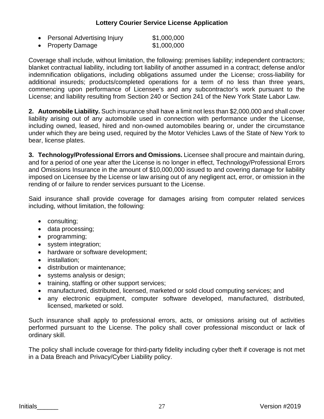| • Personal Advertising Injury | \$1,000,000 |
|-------------------------------|-------------|
| • Property Damage             | \$1,000,000 |

Coverage shall include, without limitation, the following: premises liability; independent contractors; blanket contractual liability, including tort liability of another assumed in a contract; defense and/or indemnification obligations, including obligations assumed under the License; cross-liability for additional insureds; products/completed operations for a term of no less than three years, commencing upon performance of Licensee's and any subcontractor's work pursuant to the License; and liability resulting from Section 240 or Section 241 of the New York State Labor Law.

**2. Automobile Liability.** Such insurance shall have a limit not less than \$2,000,000 and shall cover liability arising out of any automobile used in connection with performance under the License, including owned, leased, hired and non-owned automobiles bearing or, under the circumstance under which they are being used, required by the Motor Vehicles Laws of the State of New York to bear, license plates.

**3. Technology/Professional Errors and Omissions.** Licensee shall procure and maintain during, and for a period of one year after the License is no longer in effect, Technology/Professional Errors and Omissions Insurance in the amount of \$10,000,000 issued to and covering damage for liability imposed on Licensee by the License or law arising out of any negligent act, error, or omission in the rending of or failure to render services pursuant to the License.

Said insurance shall provide coverage for damages arising from computer related services including, without limitation, the following:

- consulting;
- data processing;
- programming;
- system integration;
- hardware or software development;
- installation;
- distribution or maintenance;
- systems analysis or design;
- training, staffing or other support services;
- manufactured, distributed, licensed, marketed or sold cloud computing services; and
- any electronic equipment, computer software developed, manufactured, distributed, licensed, marketed or sold.

Such insurance shall apply to professional errors, acts, or omissions arising out of activities performed pursuant to the License. The policy shall cover professional misconduct or lack of ordinary skill.

The policy shall include coverage for third-party fidelity including cyber theft if coverage is not met in a Data Breach and Privacy/Cyber Liability policy.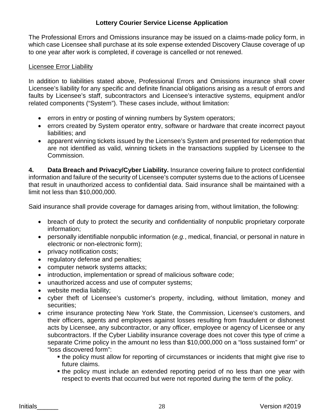The Professional Errors and Omissions insurance may be issued on a claims-made policy form, in which case Licensee shall purchase at its sole expense extended Discovery Clause coverage of up to one year after work is completed, if coverage is cancelled or not renewed.

#### Licensee Error Liability

In addition to liabilities stated above, Professional Errors and Omissions insurance shall cover Licensee's liability for any specific and definite financial obligations arising as a result of errors and faults by Licensee's staff, subcontractors and Licensee's interactive systems, equipment and/or related components ("System"). These cases include, without limitation:

- errors in entry or posting of winning numbers by System operators;
- errors created by System operator entry, software or hardware that create incorrect payout liabilities; and
- apparent winning tickets issued by the Licensee's System and presented for redemption that are not identified as valid, winning tickets in the transactions supplied by Licensee to the Commission.

**4. Data Breach and Privacy/Cyber Liability.** Insurance covering failure to protect confidential information and failure of the security of Licensee's computer systems due to the actions of Licensee that result in unauthorized access to confidential data. Said insurance shall be maintained with a limit not less than \$10,000,000.

Said insurance shall provide coverage for damages arising from, without limitation, the following:

- breach of duty to protect the security and confidentiality of nonpublic proprietary corporate information;
- personally identifiable nonpublic information (*e.g.*, medical, financial, or personal in nature in electronic or non-electronic form);
- privacy notification costs;
- regulatory defense and penalties;
- computer network systems attacks;
- introduction, implementation or spread of malicious software code;
- unauthorized access and use of computer systems;
- website media liability;
- cyber theft of Licensee's customer's property, including, without limitation, money and securities;
- crime insurance protecting New York State, the Commission, Licensee's customers, and their officers, agents and employees against losses resulting from fraudulent or dishonest acts by Licensee, any subcontractor, or any officer, employee or agency of Licensee or any subcontractors. If the Cyber Liability insurance coverage does not cover this type of crime a separate Crime policy in the amount no less than \$10,000,000 on a "loss sustained form" or "loss discovered form":
	- the policy must allow for reporting of circumstances or incidents that might give rise to future claims.
	- the policy must include an extended reporting period of no less than one year with respect to events that occurred but were not reported during the term of the policy.